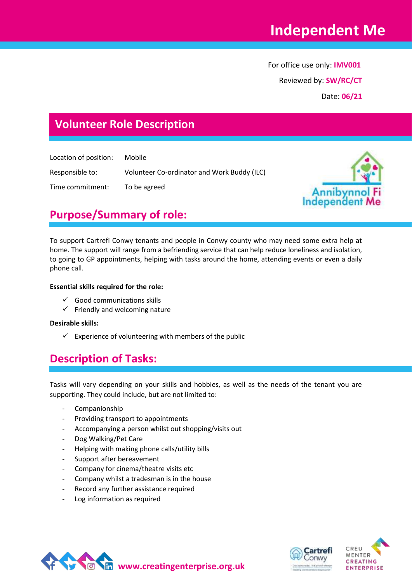# **Independent Me**

 For office use only: **IMV001** Reviewed by: **SW/RC/CT** Date: **06/21**

# **Volunteer Role Description**

Location of position: Mobile

Responsible to: Volunteer Co-ordinator and Work Buddy (ILC)

Time commitment: To be agreed



# **Purpose/Summary of role:**

To support Cartrefi Conwy tenants and people in Conwy county who may need some extra help at home. The support will range from a befriending service that can help reduce loneliness and isolation, to going to GP appointments, helping with tasks around the home, attending events or even a daily phone call.

#### **Essential skills required for the role:**

- $\checkmark$  Good communications skills
- $\checkmark$  Friendly and welcoming nature

#### **Desirable skills:**

 $\checkmark$  Experience of volunteering with members of the public

### **Description of Tasks:**

Tasks will vary depending on your skills and hobbies, as well as the needs of the tenant you are supporting. They could include, but are not limited to:

- Companionship
- Providing transport to appointments
- Accompanying a person whilst out shopping/visits out
- Dog Walking/Pet Care
- Helping with making phone calls/utility bills
- Support after bereavement
- Company for cinema/theatre visits etc
- Company whilst a tradesman is in the house
- Record any further assistance required
- Log information as required